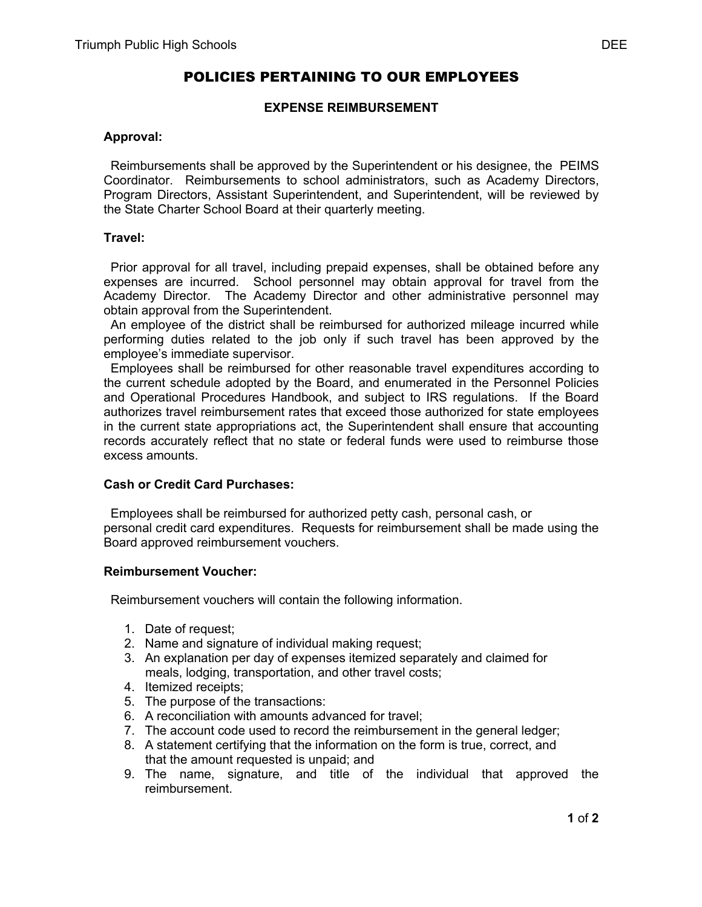# **EXPENSE REIMBURSEMENT**

### **Approval:**

 Reimbursements shall be approved by the Superintendent or his designee, the PEIMS Coordinator. Reimbursements to school administrators, such as Academy Directors, Program Directors, Assistant Superintendent, and Superintendent, will be reviewed by the State Charter School Board at their quarterly meeting.

### **Travel:**

 Prior approval for all travel, including prepaid expenses, shall be obtained before any expenses are incurred. School personnel may obtain approval for travel from the Academy Director. The Academy Director and other administrative personnel may obtain approval from the Superintendent.

 An employee of the district shall be reimbursed for authorized mileage incurred while performing duties related to the job only if such travel has been approved by the employee's immediate supervisor.

 Employees shall be reimbursed for other reasonable travel expenditures according to the current schedule adopted by the Board, and enumerated in the Personnel Policies and Operational Procedures Handbook, and subject to IRS regulations. If the Board authorizes travel reimbursement rates that exceed those authorized for state employees in the current state appropriations act, the Superintendent shall ensure that accounting records accurately reflect that no state or federal funds were used to reimburse those excess amounts.

# **Cash or Credit Card Purchases:**

 Employees shall be reimbursed for authorized petty cash, personal cash, or personal credit card expenditures. Requests for reimbursement shall be made using the Board approved reimbursement vouchers.

#### **Reimbursement Voucher:**

Reimbursement vouchers will contain the following information.

- 1. Date of request;
- 2. Name and signature of individual making request;
- 3. An explanation per day of expenses itemized separately and claimed for meals, lodging, transportation, and other travel costs;
- 4. Itemized receipts;
- 5. The purpose of the transactions:
- 6. A reconciliation with amounts advanced for travel;
- 7. The account code used to record the reimbursement in the general ledger;
- 8. A statement certifying that the information on the form is true, correct, and that the amount requested is unpaid; and
- 9. The name, signature, and title of the individual that approved the reimbursement.